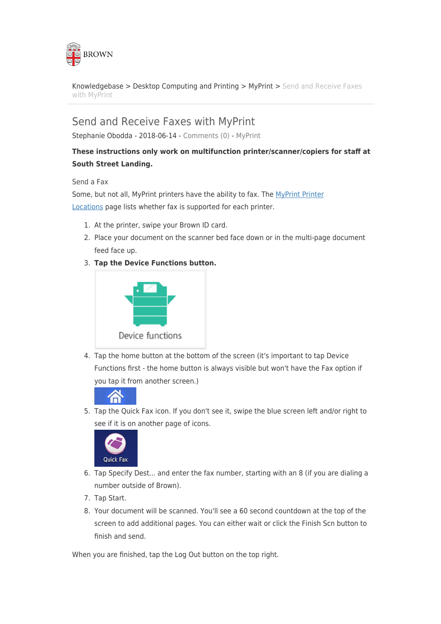

[Knowledgebase](https://ithelp.brown.edu/kb) > [Desktop Computing and Printing](https://ithelp.brown.edu/kb/desktop-computing-and-printing) > [MyPrint](https://ithelp.brown.edu/kb/myprint) > [Send and Receive Faxes](https://ithelp.brown.edu/kb/articles/send-and-receive-faxes-with-myprint) [with MyPrint](https://ithelp.brown.edu/kb/articles/send-and-receive-faxes-with-myprint)

## Send and Receive Faxes with MyPrint

Stephanie Obodda - 2018-06-14 - [Comments \(0\)](#page--1-0) - [MyPrint](https://ithelp.brown.edu/kb/myprint)

## **These instructions only work on multifunction printer/scanner/copiers for staff at South Street Landing.**

## Send a Fax

Some, but not all, MyPrint printers have the ability to fax. The [MyPrint Printer](https://ithelp.brown.edu/kb/articles/myprint-printer-locations) [Locations](https://ithelp.brown.edu/kb/articles/myprint-printer-locations) page lists whether fax is supported for each printer.

- 1. At the printer, swipe your Brown ID card.
- 2. Place your document on the scanner bed face down or in the multi-page document feed face up.
- 3. **Tap the Device Functions button.**



4. Tap the home button at the bottom of the screen (it's important to tap Device Functions first - the home button is always visible but won't have the Fax option if you tap it from another screen.)



5. Tap the Quick Fax icon. If you don't see it, swipe the blue screen left and/or right to see if it is on another page of icons.



- 6. Tap Specify Dest... and enter the fax number, starting with an 8 (if you are dialing a number outside of Brown).
- 7. Tap Start.
- 8. Your document will be scanned. You'll see a 60 second countdown at the top of the screen to add additional pages. You can either wait or click the Finish Scn button to finish and send.

When you are finished, tap the Log Out button on the top right.